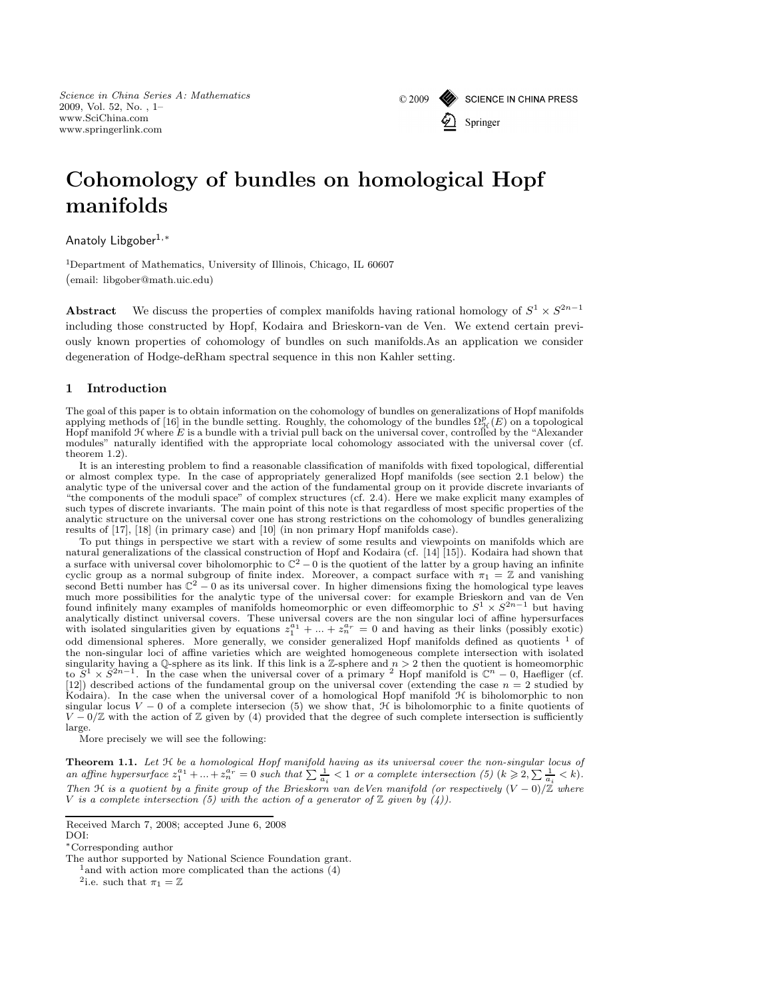*Science in China Series A: Mathematics* 2009, Vol. 52, No. , 1– www.SciChina.com www.springerlink.com



# Cohomology of bundles on homological Hopf manifolds

Anatoly Libgober1,<sup>∗</sup>

<sup>1</sup>Department of Mathematics, University of Illinois, Chicago, IL 60607 (email: libgober@math.uic.edu)

Abstract We discuss the properties of complex manifolds having rational homology of  $S^1 \times S^{2n-1}$ including those constructed by Hopf, Kodaira and Brieskorn-van de Ven. We extend certain previously known properties of cohomology of bundles on such manifolds.As an application we consider degeneration of Hodge-deRham spectral sequence in this non Kahler setting.

## 1 Introduction

The goal of this paper is to obtain information on the cohomology of bundles on generalizations of Hopf manifolds applying methods of [16] in the bundle setting. Roughly, the cohomology of the bundles  $\Omega_{\mathcal{H}}^p(E)$  on a topological Hopf manifold  $H$  where  $E$  is a bundle with a trivial pull back on the universal cover, controlled by the "Alexander" modules" naturally identified with the appropriate local cohomology associated with the universal cover (cf. theorem 1.2).

It is an interesting problem to find a reasonable classification of manifolds with fixed topological, differential or almost complex type. In the case of appropriately generalized Hopf manifolds (see section 2.1 below) the analytic type of the universal cover and the action of the fundamental group on it provide discrete invariants of "the components of the moduli space" of complex structures (cf. 2.4). Here we make explicit many examples of such types of discrete invariants. The main point of this note is that regardless of most specific properties of the analytic structure on the universal cover one has strong restrictions on the cohomology of bundles generalizing results of [17], [18] (in primary case) and [10] (in non primary Hopf manifolds case).

To put things in perspective we start with a review of some results and viewpoints on manifolds which are natural generalizations of the classical construction of Hopf and Kodaira (cf. [14] [15]). Kodaira had shown that a surface with universal cover biholomorphic to  $\mathbb{C}^2 - 0$  is the quotient of the latter by a group having an infinite cyclic group as a normal subgroup of finite index. Moreover, a compact surface with  $\pi_1 = \mathbb{Z}$  and vanishing second Betti number has  $\mathbb{C}^2 - 0$  as its universal cover. In higher dimensions fixing the homological type leaves much more possibilities for the analytic type of the universal cover: for example Brieskorn and van de Ven found infinitely many examples of manifolds homeomorphic or even diffeomorphic to  $S^1 \times S^{2n-1}$  but having analytically distinct universal covers. These universal covers are the non singular loci of affine hypersurfaces with isolated singularities given by equations  $z_1^{a_1} + ... + z_n^{a_r} = 0$  and having as their links (possibly exotic) odd dimensional spheres. More generally, we consider generalized Hopf manifolds defined as quotients <sup>1</sup> of the non-singular loci of affine varieties which are weighted homogeneous complete intersection with isolated singularity having a Q-sphere as its link. If this link is a Z-sphere and  $n > 2$  then the quotient is homeomorphic to  $S^1 \times S^{2n-1}$ . In the case when the universal cover of a primary <sup>2</sup> Hopf manifold is  $\mathbb{C}^n - 0$ , Haefliger (cf. [12]) described actions of the fundamental group on the universal cover (extending the case  $n = 2$  studied by Kodaira). In the case when the universal cover of a homological Hopf manifold H is biholomorphic to non singular locus  $V - 0$  of a complete intersecion (5) we show that,  $\mathcal{H}$  is biholomorphic to a finite quotients of  $V - 0/\mathbb{Z}$  with the action of  $\mathbb{Z}$  given by (4) provided that the degree of such complete intersection is sufficiently large.

More precisely we will see the following:

Theorem 1.1. *Let* H *be a homological Hopf manifold having as its universal cover the non-singular locus of* an affine hypersurface  $z_1^{a_1} + ... + z_n^{a_r} = 0$  such that  $\sum_{a_i} \frac{1}{a_i} < 1$  or a complete intersection (5)  $(k \geq 2, \sum_{a_i} \frac{1}{a_i} < k)$ . *Then* <sup>H</sup> *is a quotient by a finite group of the Brieskorn van deVen manifold (or respectively* (<sup>V</sup> <sup>−</sup> 0)/<sup>Z</sup> *where* V is a complete intersection (5) with the action of a generator of  $\mathbb Z$  given by  $(4)$ ).

Received March 7, 2008; accepted June 6, 2008

DOI:

<sup>∗</sup>Corresponding author

The author supported by National Science Foundation grant.

 $^{\rm 1}$  and with action more complicated than the actions (4)

<sup>&</sup>lt;sup>2</sup>i.e. such that  $\pi_1 = \mathbb{Z}$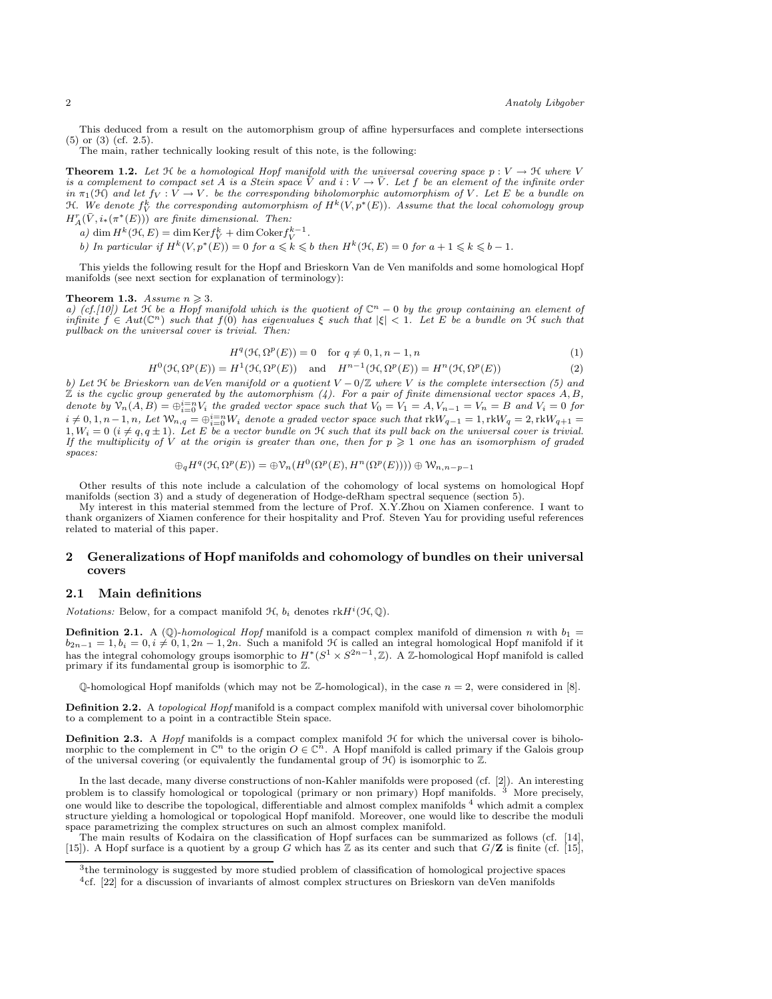This deduced from a result on the automorphism group of affine hypersurfaces and complete intersections (5) or (3) (cf. 2.5).

The main, rather technically looking result of this note, is the following:

**Theorem 1.2.** Let  $\mathcal{H}$  be a homological Hopf manifold with the universal covering space  $p: V \to \mathcal{H}$  where V *is a complement to compact set* A *is a Stein space*  $\bar{V}$  *and*  $i : V \to \bar{V}$ *. Let* f *be an element of the infinite order in*  $\pi_1(\mathfrak{H})$  *and let*  $f_V : V \to V$ *. be the corresponding biholomorphic automorphism of* V*. Let* E *be a bundle on*  $H.$  We denote  $f_V^k$  the corresponding automorphism of  $H^k(V, p^*(E))$ . Assume that the local cohomology group  $H_A^r(\bar{V}, i_*(\pi^*(E)))$  are finite dimensional. Then:

*a*) dim  $H^k(\mathcal{H}, E) = \dim \text{Ker} f_V^k + \dim \text{Coker} f_V^{k-1}$ .

*b)* In particular if  $H^k(V, p^*(E)) = 0$  for  $a \le k \le b$  then  $H^k(\mathcal{H}, E) = 0$  for  $a + 1 \le k \le b - 1$ .

This yields the following result for the Hopf and Brieskorn Van de Ven manifolds and some homological Hopf manifolds (see next section for explanation of terminology):

#### **Theorem 1.3.** *Assume*  $n \geq 3$ *.*

*a)* (cf.[10]) Let  $\mathcal{H}$  be a Hopf manifold which is the quotient of  $\mathbb{C}^n - 0$  by the group containing an element of  $\inf\limits_{n\in\mathbb{N}}\inf\limits_{\mathbb{R}^n} \mathbb{E}\left\{f\in\mathbb{R}^n\mid\mathbb{R}^n\right\}$  *f* (0) *has eigenvalues*  $\xi$  *such that*  $|\xi| < 1$ . Let E be a bundle on H *such that pullback on the universal cover is trivial. Then:*

$$
H^{q}(\mathcal{H}, \Omega^{p}(E)) = 0 \quad \text{for } q \neq 0, 1, n - 1, n
$$
 (1)

$$
H^{0}(\mathcal{H}, \Omega^{p}(E)) = H^{1}(\mathcal{H}, \Omega^{p}(E)) \text{ and } H^{n-1}(\mathcal{H}, \Omega^{p}(E)) = H^{n}(\mathcal{H}, \Omega^{p}(E))
$$
\n(2)

b) Let  $\mathcal H$  be Brieskorn van de Ven manifold or a quotient  $V - 0/\mathbb{Z}$  where V is the complete intersection (5) and  $\mathbb Z$  is the cyclic group generated by the automorphism (4). For a pair of finite dimensional vector denote by  $\mathcal{V}_n(A, B) = \bigoplus_{i=0}^{n} V_i$  the graded vector space such that  $V_0 = V_1 = A, V_{n-1} = V_n = B$  and  $V_i = 0$  for  $i \neq 0, 1, n-1, n$ , Let  $\mathcal{W}_{n,q} = \bigoplus_{i=0}^{i=n} W_i$  denote a graded vector space such that  $\text{rk}W_{q-1} = 1, \text{rk}W_q = 2, \text{rk}W_{q+1} = 1$  $1, W_i = 0$   $(i \neq q, q \pm 1)$ . Let E be a vector bundle on  $\mathcal H$  such that its pull back on the universal cover is trivial.<br>If the multiplicity of V at the origin is greater than one, then for  $p \geqslant 1$  one has an isomorphis *spaces:*

$$
\oplus_q H^q(\mathcal{H}, \Omega^p(E)) = \oplus \mathcal{V}_n(H^0(\Omega^p(E), H^n(\Omega^p(E)))) \oplus \mathcal{W}_{n,n-p-1}
$$

Other results of this note include a calculation of the cohomology of local systems on homological Hopf manifolds (section 3) and a study of degeneration of Hodge-deRham spectral sequence (section 5).

My interest in this material stemmed from the lecture of Prof. X.Y.Zhou on Xiamen conference. I want to thank organizers of Xiamen conference for their hospitality and Prof. Steven Yau for providing useful references related to material of this paper.

# 2 Generalizations of Hopf manifolds and cohomology of bundles on their universal covers

# 2.1 Main definitions

*Notations:* Below, for a compact manifold  $H$ ,  $b_i$  denotes  $\mathrm{rk} H^i(\mathcal{H}, \mathbb{Q})$ .

**Definition 2.1.** A (Q)-*homological Hopf* manifold is a compact complex manifold of dimension n with  $b_1 =$  $b_{2n-1} = 1, b_i = 0, i \neq 0, 1, 2n - 1, 2n$ . Such a manifold H is called an integral homological Hopf manifold if it has the integral cohomology groups isomorphic to  $H^*(S^1 \times S^{2n-1}, \mathbb{Z})$ . A Z-homological Hopf manifold is called primary if its fundamental group is isomorphic to Z.

 $\mathbb{O}\text{-}\mathrm{homological}$  Hopf manifolds (which may not be Z-homological), in the case  $n = 2$ , were considered in [8].

Definition 2.2. A *topological Hopf* manifold is a compact complex manifold with universal cover biholomorphic to a complement to a point in a contractible Stein space.

**Definition 2.3.** A *Hopf* manifolds is a compact complex manifold  $H$  for which the universal cover is biholomorphic to the complement in  $\mathbb{C}^n$  to the origin  $O \in \mathbb{C}^n$ . A Hopf manifold is called primary if the Galois group of the universal covering (or equivalently the fundamental group of  $\mathcal{H}$ ) is isomorphic to  $\mathbb{Z}$ .

In the last decade, many diverse constructions of non-Kahler manifolds were proposed (cf. [2]). An interesting problem is to classify homological or topological (primary or non primary) Hopf manifolds. <sup>3</sup> More precisely, one would like to describe the topological, differentiable and almost complex manifolds <sup>4</sup> which admit a complex structure yielding a homological or topological Hopf manifold. Moreover, one would like to describe the moduli space parametrizing the complex structures on such an almost complex manifold.

The main results of Kodaira on the classification of Hopf surfaces can be summarized as follows (cf. [15]). A Hopf surface is a quotient by a group G which has Z as its center and such that  $G/\mathbf{Z}$  is finite (cf. [15],

<sup>3</sup> the terminology is suggested by more studied problem of classification of homological projective spaces

<sup>4</sup>cf. [22] for a discussion of invariants of almost complex structures on Brieskorn van deVen manifolds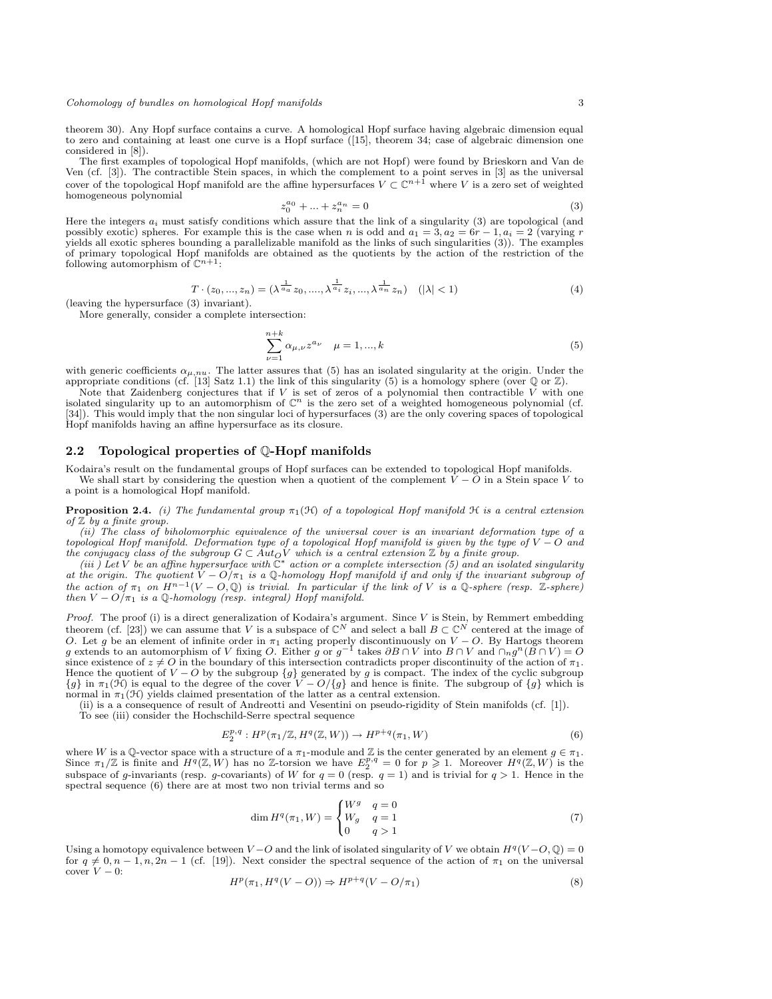theorem 30). Any Hopf surface contains a curve. A homological Hopf surface having algebraic dimension equal to zero and containing at least one curve is a Hopf surface ([15], theorem 34; case of algebraic dimension one considered in [8]).

The first examples of topological Hopf manifolds, (which are not Hopf) were found by Brieskorn and Van de Ven (cf. [3]). The contractible Stein spaces, in which the complement to a point serves in [3] as the universal cover of the topological Hopf manifold are the affine hypersurfaces  $V \subset \mathbb{C}^{n+1}$  where V is a zero set of weighted homogeneous polynomial

$$
z_0^{a_0} + \dots + z_n^{a_n} = 0 \tag{3}
$$

Here the integers  $a_i$  must satisfy conditions which assure that the link of a singularity (3) are topological (and possibly exotic) spheres. For example this is the case when n is odd and  $a_1 = 3$ ,  $a_2 = 6r - 1$ ,  $a_i = 2$  (varying r yields all exotic spheres bounding a parallelizable manifold as the links of such singularities (3)). The examples of primary topological Hopf manifolds are obtained as the quotients by the action of the restriction of the following automorphism of  $\mathbb{C}^{n+1}$ :

$$
T \cdot (z_0, ..., z_n) = (\lambda^{\frac{1}{a_a}} z_0, ..., \lambda^{\frac{1}{a_i}} z_i, ..., \lambda^{\frac{1}{a_n}} z_n) \quad (|\lambda| < 1)
$$
\n(leaving the hypersurface (3) invariant).

\n(4)

More generally, consider a complete intersection:

$$
\sum_{\nu=1}^{n+k} \alpha_{\mu,\nu} z^{a_{\nu}} \quad \mu = 1, ..., k
$$
 (5)

with generic coefficients  $\alpha_{\mu,nu}$ . The latter assures that (5) has an isolated singularity at the origin. Under the appropriate conditions (cf. [13] Satz 1.1) the link of this singularity (5) is a homology sphere (over  $\mathbb{Q}$  or  $\mathbb{Z}$ ).

Note that Zaidenberg conjectures that if  $V$  is set of zeros of a polynomial then contractible  $V$  with one isolated singularity up to an automorphism of  $\mathbb{C}^n$  is the zero set of a weighted homogeneous polynomial (cf. [34]). This would imply that the non singular loci of hypersurfaces (3) are the only covering spaces of topological Hopf manifolds having an affine hypersurface as its closure.

# 2.2 Topological properties of Q-Hopf manifolds

Kodaira's result on the fundamental groups of Hopf surfaces can be extended to topological Hopf manifolds. We shall start by considering the question when a quotient of the complement  $\tilde{V} - \tilde{O}$  in a Stein space V to a point is a homological Hopf manifold.

**Proposition 2.4.** *(i)* The fundamental group  $\pi_1(\mathcal{H})$  of a topological Hopf manifold  $\mathcal{H}$  is a central extension *of* Z *by a finite group.*

*(ii) The class of biholomorphic equivalence of the universal cover is an invariant deformation type of a topological Hopf manifold. Deformation type of a topological Hopf manifold is given by the type of* V − O *and* the conjugacy class of the subgroup  $G \subset Aut_{O}V$  which is a central extension  $\mathbb Z$  by a finite group.<br>(iii) Let V be an affine hypersurface with  $\mathbb C^*$  action or a complete intersection (5) and an isolated singularity

*at the origin. The quotient*  $V - O/\pi_1$  *is a* Q-homology Hopf manifold if and only if the invariant subgroup of *the action of*  $\pi_1$  *on*  $H^{n-1}(V - O, \mathbb{Q})$  *is trivial. In particular if the link of* V *is a*  $\mathbb{Q}$ -sphere (resp. Z-sphere) *then*  $V - O/\pi_1$  *is a* Q-homology (resp. integral) Hopf manifold.

*Proof.* The proof (i) is a direct generalization of Kodaira's argument. Since V is Stein, by Remmert embedding theorem (cf. [23]) we can assume that V is a subspace of  $\mathbb{C}^N$  and select a ball  $B \subset \mathbb{C}^N$  centered at the image of *O*. Let g be an element of infinite order in  $\pi_1$  acting properly discontinuously on  $V - O$ . By Hartogs theorem g extends to an automorphism of *V* fixing *O*. Either g or  $g^{-1}$  takes  $\partial B \cap V$  into  $B \cap V$  and  $\cap_{n} g^{$ since existence of  $z \neq O$  in the boundary of this intersection contradicts proper discontinuity of the action of  $\pi_1$ . Hence the quotient of  $V - O$  by the subgroup  $\{g\}$  generated by g is compact. The index of the cyclic subgroup  $\{g\}$  in  $\pi_1(\mathcal{H})$  is equal to the degree of the cover  $V - O/\{g\}$  and hence is finite. The subgroup of normal in  $\pi_1(\mathcal{H})$  yields claimed presentation of the latter as a central extension.

(ii) is a a consequence of result of Andreotti and Vesentini on pseudo-rigidity of Stein manifolds (cf. [1]).

To see (iii) consider the Hochschild-Serre spectral sequence

$$
E_2^{p,q}: H^p(\pi_1/\mathbb{Z}, H^q(\mathbb{Z}, W)) \to H^{p+q}(\pi_1, W) \tag{6}
$$

where W is a Q-vector space with a structure of a  $\pi_1$ -module and Z is the center generated by an element  $g \in \pi_1$ .<br>Since  $\pi_1/\mathbb{Z}$  is finite and  $H^q(\mathbb{Z}, W)$  has no Z-torsion we have  $E_2^{p,q} = 0$  for  $p \geq 1$ . Mor subspace of g-invariants (resp. g-covariants) of W for  $q = 0$  (resp.  $q = 1$ ) and is trivial for  $q > 1$ . Hence in the spectral sequence (6) there are at most two non trivial terms and so

$$
\dim H^q(\pi_1, W) = \begin{cases} W^g & q = 0\\ W_g & q = 1\\ 0 & q > 1 \end{cases}
$$
\n(7)

Using a homotopy equivalence between  $V - O$  and the link of isolated singularity of V we obtain  $H^q(V - O, \mathbb{Q}) = 0$ for  $q \neq 0, n-1, n, 2n-1$  (cf. [19]). Next consider the spectral sequence of the action of  $\pi_1$  on the universal cover  $V - 0$ :<br>  $H^p(\pi_1, H^q)$ 

$$
H^p(\pi_1, H^q(V - O)) \Rightarrow H^{p+q}(V - O/\pi_1)
$$
\n
$$
(8)
$$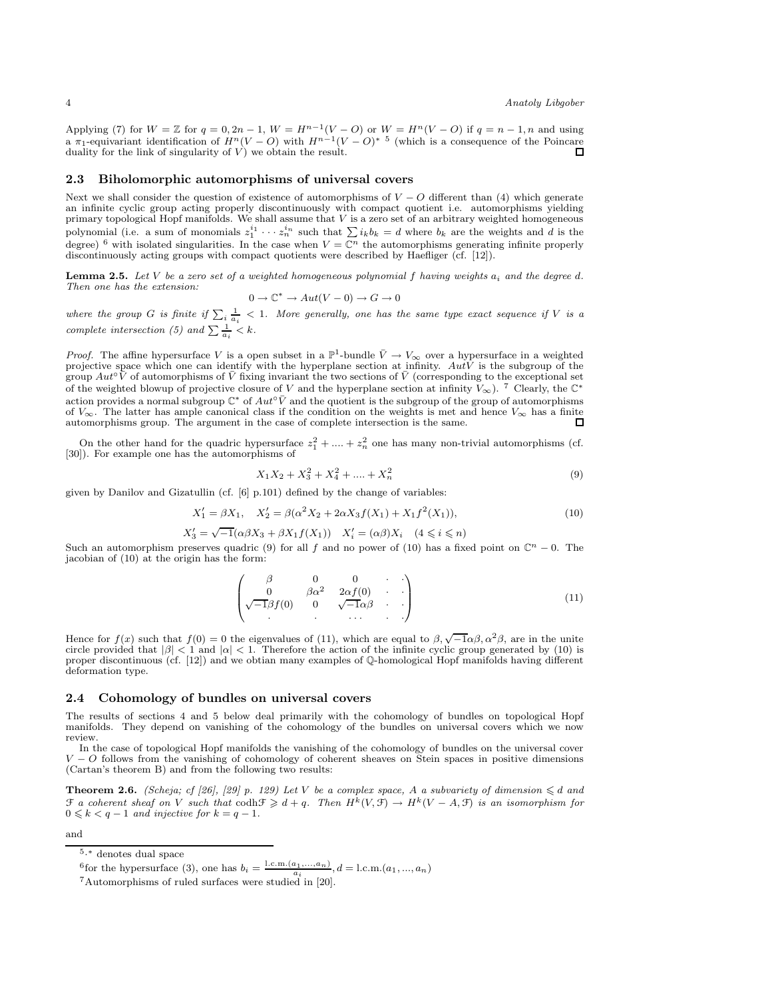Applying (7) for  $W = \mathbb{Z}$  for  $q = 0, 2n - 1, W = H^{n-1}(V - O)$  or  $W = H^{n}(V - O)$  if  $q = n - 1, n$  and using a π<sub>1</sub>-equivariant identification of  $H^n(V-O)$  with  $H^{n-1}(V-O)^*$ <sup>5</sup> (which is a consequence of the Poincare duality for the link of singularity of  $\vec{V}$ ) we obtain the result.

## 2.3 Biholomorphic automorphisms of universal covers

Next we shall consider the question of existence of automorphisms of  $V - Q$  different than (4) which generate an infinite cyclic group acting properly discontinuously with compact quotient i.e. automorphisms yielding primary topological Hopf manifolds. We shall assume that V is a zero set of an arbitrary weighted homogeneous polynomial (i.e. a sum of monomials  $z_1^{i_1} \cdots z_n^{i_n}$  such that  $\sum i_k b_k = d$  where  $b_k$  are the weights and d is the degree) <sup>6</sup> with isolated singularities. In the case when  $V = \mathbb{C}^n$  the automorphisms generating infinite properly discontinuously acting groups with compact quotients were described by Haefliger (cf. [12]).

Lemma 2.5. *Let* V *be a zero set of a weighted homogeneous polynomial* f *having weights* a<sup>i</sup> *and the degree* d*. Then one has the extension:*

$$
0\to \mathbb{C}^*\to Aut(V-0)\to G\to 0
$$

where the group G is finite if  $\sum_i \frac{1}{a_i} < 1$ . More generally, one has the same type exact sequence if V is a *complete intersection (5) and*  $\sum \frac{1}{a_i} < k$ .

*Proof.* The affine hypersurface V is a open subset in a  $\mathbb{P}^1$ -bundle  $\bar{V} \to V_\infty$  over a hypersurface in a weighted projective space which one can identify with the hyperplane section at infinity.  $Au\tilde{V}$  is the subgroup of the group  $Aut^\circ \tilde{V}$  of automorphisms of  $\overline{V}$  fixing invariant the two sections of  $\overline{V}$  (corresponding to the exceptional set of the weighted blowup of projective closure of V and the hyperplane section at infinity  $V_{\infty}$ ). <sup>7</sup> Clearly, the C<sup>\*</sup> action provides a normal subgroup  $\mathbb{C}^*$  of  $Aut^\circ \bar{V}$  and the quotient is the subgroup of the group of automorphisms of  $V_{\infty}$ . The latter has ample canonical class if the condition on the weights is met and hence  $V_{\infty}$  has a finite automorphisms group. The argument in the case of complete intersection is the same. automorphisms group. The argument in the case of complete intersection is the same.

On the other hand for the quadric hypersurface  $z_1^2 + \dots + z_n^2$  one has many non-trivial automorphisms (cf. [30]). For example one has the automorphisms of

$$
X_1 X_2 + X_3^2 + X_4^2 + \dots + X_n^2 \tag{9}
$$

given by Danilov and Gizatullin (cf. [6] p.101) defined by the change of variables:

$$
X_1' = \beta X_1, \quad X_2' = \beta(\alpha^2 X_2 + 2\alpha X_3 f(X_1) + X_1 f^2(X_1)),\tag{10}
$$

$$
X_3' = \sqrt{-1}(\alpha\beta X_3 + \beta X_1 f(X_1)) \quad X_i' = (\alpha\beta)X_i \quad (4 \leq i \leq n)
$$

Such an automorphism preserves quadric (9) for all f and no power of (10) has a fixed point on  $\mathbb{C}^n - 0$ . The jacobian of (10) at the origin has the form:

$$
\begin{pmatrix}\n\beta & 0 & 0 & \cdots \\
0 & \beta\alpha^2 & 2\alpha f(0) & \cdots \\
\sqrt{-1}\beta f(0) & 0 & \sqrt{-1}\alpha\beta & \cdots\n\end{pmatrix}
$$
\n(11)

Hence for  $f(x)$  such that  $f(0) = 0$  the eigenvalues of (11), which are equal to  $\beta$ ,  $\sqrt{-1}\alpha\beta$ ,  $\alpha^2\beta$ , are in the unite circle provided that  $|\beta| < 1$  and  $|\alpha| < 1$ . Therefore the action of the infinite cyclic group generated by (10) is proper discontinuous (cf. [12]) and we obtian many examples of Q-homological Hopf manifolds having different deformation type.

#### 2.4 Cohomology of bundles on universal covers

The results of sections 4 and 5 below deal primarily with the cohomology of bundles on topological Hopf manifolds. They depend on vanishing of the cohomology of the bundles on universal covers which we now review.

In the case of topological Hopf manifolds the vanishing of the cohomology of bundles on the universal cover  $V - O$  follows from the vanishing of cohomology of coherent sheaves on Stein spaces in positive dimensions (Cartan's theorem B) and from the following two results:

**Theorem 2.6.** *(Scheja; cf [26], [29] p. 129) Let* V *be a complex space,* A *a subvariety of dimension*  $\leq d$  *and*  $\mathcal F$  *a coherent sheaf on* V *such that*  $\cosh \mathcal{F} \geq d + q$ . Then  $H^k(V, \mathcal{F}) \to H^k(V - A, \mathcal{F})$  is an isomorphism for  $0 \leq k < q-1$  *and injective for*  $k = q-1$ *.* 

and

 $5.*$  denotes dual space

<sup>&</sup>lt;sup>6</sup>for the hypersurface (3), one has  $b_i = \frac{\text{l.c.m.}(a_1,...,a_n)}{a_i}$ ,  $d = \text{l.c.m.}(a_1,...,a_n)$ 

<sup>7</sup>Automorphisms of ruled surfaces were studied in [20].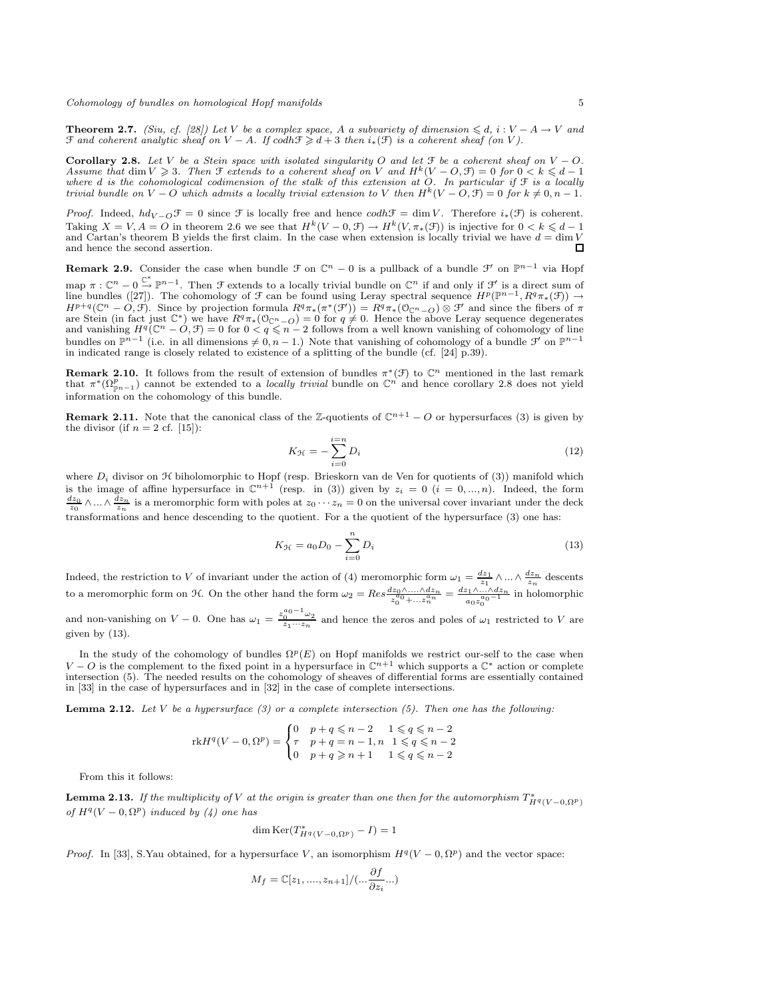**Theorem 2.7.** *(Siu, cf. [28])* Let *V* be a complex space, A a subvariety of dimension ≤ d, i :  $V - A \rightarrow V$  and  $\mathcal{F}$  and coherent analytic sheaf on  $V - A$ . If  $\text{codh}\mathcal{F} \geq d + 3$  then  $i_*(\mathcal{F})$  is a coherent sheaf (on V).

Corollary 2.8. Let V be a Stein space with isolated singularity O and let  $\mathcal{F}$  be a coherent sheaf on  $V - O$ . *Assume that* dim  $V \geq 3$ *. Then*  $\mathcal{F}$  *extends to a coherent sheaf on* V *and*  $H^k(V - O, \mathcal{F}) = 0$  *for*  $0 < k \leq d - 1$ *where* d *is the cohomological codimension of the stalk of this extension at* O*. In particular if* F *is a locally trivial bundle on*  $V - O$  *which admits a locally trivial extension to* V *then*  $H^k(V - O, \mathcal{F}) = 0$  *for*  $k \neq 0, n - 1$ .

*Proof.* Indeed,  $hd_{V-Q} \mathcal{F} = 0$  since  $\mathcal F$  is locally free and hence  $codh \mathcal{F} = \dim V$ . Therefore  $i_*(\mathcal{F})$  is coherent. Taking  $X = V$ ,  $A = O$  in theorem 2.6 we see that  $H^k(V - 0, \mathcal{F}) \to H^k(V, \pi_*(\mathcal{F}))$  is injective for  $0 < k \leq d - 1$ and Cartan's theorem B yields the first claim. In the case when extension is locally trivial we have  $d = \dim V$  and hence the second assertion and hence the second assertion.

**Remark 2.9.** Consider the case when bundle  $\mathcal{F}$  on  $\mathbb{C}^n - 0$  is a pullback of a bundle  $\mathcal{F}'$  on  $\mathbb{P}^{n-1}$  via Hopf map  $\pi: \mathbb{C}^n \to 0 \stackrel{\mathbb{C}^*}{\to} \mathbb{P}^{n-1}$ . Then  $\mathcal F$  extends to a locally trivial bundle on  $\mathbb{C}^n$  if and only if  $\mathcal F'$  is a direct sum of line bundles ([27]). The cohomology of  $\mathcal F$  can be found using Leray spectral sequence  $H^p(\mathbb P^{n-1}, R^q\pi_*(\mathcal F)) \to$  $H^{p+q}(\mathbb{C}^n - \tilde{O}, \tilde{\mathcal{F}})$ . Since by projection formula  $R^q \pi_* (\pi^* (\mathcal{F}')) = R^q \pi_* (\mathcal{O}_{\mathbb{C}^n - \tilde{O}}) \otimes \mathcal{F}'$  and since the fibers of  $\pi$ are Stein (in fact just  $\mathbb{C}^*$ ) we have  $R^q\pi_*(\mathbb{O}_{\mathbb{C}^n-O})=0$  for  $q\neq 0$ . Hence the above Leray sequence degenerates and vanishing  $H^q(\mathbb{C}^n - \mathcal{O}, \mathcal{F}) = 0$  for  $0 < q \leq n-2$  follows from a well known vanishing of cohomology of line bundles on  $\mathbb{P}^{n-1}$  (i.e. in all dimensions  $\neq 0, n-1$ .) Note that vanishing of cohomology of a bundle  $\mathcal{F}'$  on  $\mathbb{P}^{n-1}$ in indicated range is closely related to existence of a splitting of the bundle (cf.  $[24]$   $\overline{p}$ .39).

**Remark 2.10.** It follows from the result of extension of bundles  $\pi^*(\mathcal{F})$  to  $\mathbb{C}^n$  mentioned in the last remark that  $\pi^*(\Omega_{p_{n-1}}^p)$  cannot be extended to a *locally trivial* bundle on  $\mathbb{C}^n$  and hence corollary 2.8 does not yield information on the cohomology of this bundle.

**Remark 2.11.** Note that the canonical class of the Z-quotients of  $\mathbb{C}^{n+1} - O$  or hypersurfaces (3) is given by the divisor (if  $n = 2$  cf. [15]):

$$
K_{\mathcal{H}} = -\sum_{i=0}^{i=n} D_i \tag{12}
$$

where  $D_i$  divisor on  $H$  biholomorphic to Hopf (resp. Brieskorn van de Ven for quotients of (3)) manifold which is the image of affine hypersurface in  $\mathbb{C}^{n+1}$  (resp. in (3)) given by  $z_i = 0$   $(i = 0, ..., n)$ . Indeed, the form  $\frac{dz_0}{z_0} \wedge ... \wedge \frac{dz_n}{z_n}$  is a meromorphic form with poles at  $z_0 \cdots z_n = 0$  on the universal cover invariant under the deck transformations and hence descending to the quotient. For a the quotient of the hypersurface (3) one has:

$$
K_{\mathcal{H}} = a_0 D_0 - \sum_{i=0}^{n} D_i
$$
\n(13)

Indeed, the restriction to V of invariant under the action of (4) meromorphic form  $\omega_1 = \frac{dz_1}{z_1} \wedge \dots \wedge \frac{dz_n}{z_n}$  descents to a meromorphic form on H. On the other hand the form  $\omega_2 = Res \frac{dz_0 \wedge ....\wedge dz_n}{z_0^{a_0} + ... z_n^{a_n}} = \frac{dz_1 \wedge ....\wedge dz_n}{a_0 z_0^{a_0-1}}$  $rac{a_0z_0^{a_0-1}}{a_0z_0^{a_0-1}}$  in holomorphic

and non-vanishing on  $V - 0$ . One has  $\omega_1 = \frac{z_0^{a_0 - 1} \omega_2}{z_1 \cdots z_n}$  and hence the zeros and poles of  $\omega_1$  restricted to V are given by (13).

In the study of the cohomology of bundles  $\Omega^p(E)$  on Hopf manifolds we restrict our-self to the case when  $V - O$  is the complement to the fixed point in a hypersurface in  $\mathbb{C}^{n+1}$  which supports a  $\mathbb{C}^*$  action or complete intersection (5). The needed results on the cohomology of sheaves of differential forms are essentially contained in [33] in the case of hypersurfaces and in [32] in the case of complete intersections.

Lemma 2.12. *Let* V *be a hypersurface (3) or a complete intersection (5). Then one has the following:*

$$
\text{rk} H^q(V - 0, \Omega^p) = \begin{cases} 0 & p + q \leq n - 2 & 1 \leq q \leq n - 2 \\ \tau & p + q = n - 1, n & 1 \leq q \leq n - 2 \\ 0 & p + q \geq n + 1 & 1 \leq q \leq n - 2 \end{cases}
$$

From this it follows:

**Lemma 2.13.** If the multiplicity of V at the origin is greater than one then for the automorphism  $T^*_{H^q(V-0,\Omega^p)}$  $of H<sup>q</sup>(V - 0, \Omega<sup>p</sup>)$  *induced by* (4) one has

$$
\dim \operatorname{Ker}(T_{H^q(V-0,\Omega^p)}^* - I) = 1
$$

*Proof.* In [33], S.Yau obtained, for a hypersurface V, an isomorphism  $H^q(V-0,\Omega^p)$  and the vector space:

$$
M_f = \mathbb{C}[z_1, \dots, z_{n+1}]/(\dots \frac{\partial f}{\partial z_i} \dots)
$$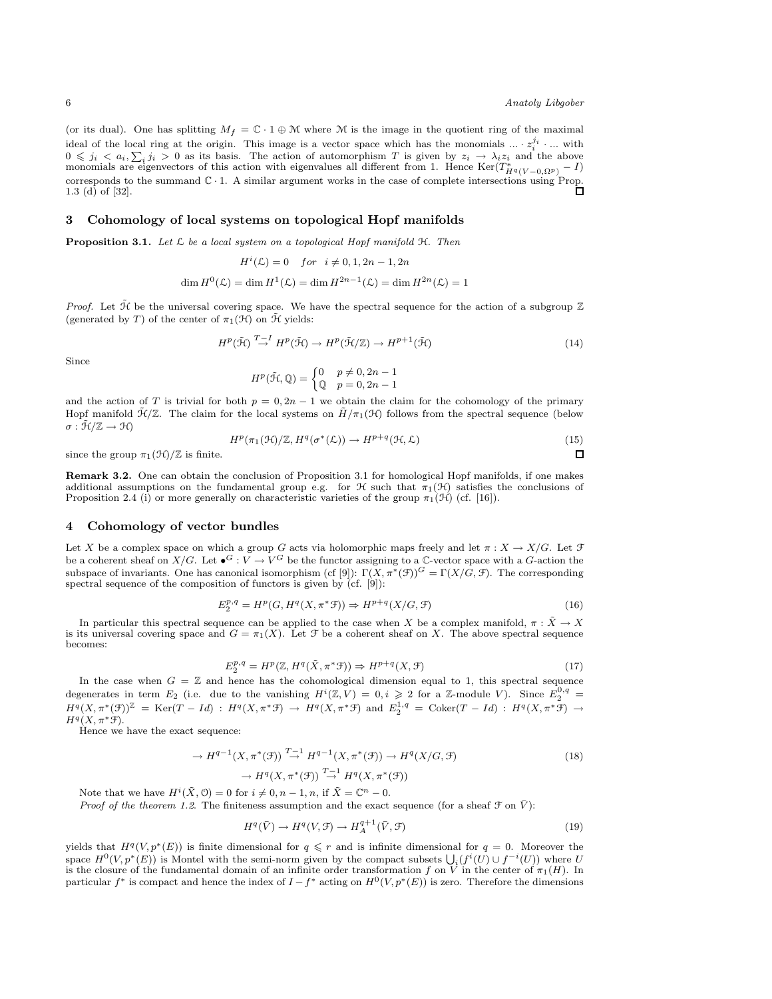$\Box$ 

(or its dual). One has splitting  $M_f = \mathbb{C} \cdot 1 \oplus \mathbb{M}$  where  $\mathbb M$  is the image in the quotient ring of the maximal ideal of the local ring at the origin. This image is a vector space which has the monomials  $\ldots \cdot z_i^{j_i}$   $\ldots$  with  $0 \leq j_i < a_i, \sum_i j_i > 0$  as its basis. The action of automorphism T is given by  $z_i \to \lambda_i z_i$  and the above monomials are eigenvectors of this action with eigenvalues all different from 1. Hence  $\text{Ker}(T^*_{H^q(V-0,\Omega^p)}-I)$ corresponds to the summand C · 1. A similar argument works in the case of complete intersections using Prop. 1.3 (d) of [32].

#### 3 Cohomology of local systems on topological Hopf manifolds

Proposition 3.1. *Let* L *be a local system on a topological Hopf manifold* H*. Then*

$$
H^{i}(\mathcal{L}) = 0 \quad for \quad i \neq 0, 1, 2n - 1, 2n
$$

$$
\dim H^{0}(\mathcal{L}) = \dim H^{1}(\mathcal{L}) = \dim H^{2n-1}(\mathcal{L}) = \dim H^{2n}(\mathcal{L}) = 1
$$

*Proof.* Let  $\tilde{\mathcal{H}}$  be the universal covering space. We have the spectral sequence for the action of a subgroup  $\mathbb{Z}$ (generated by T) of the center of  $\pi_1(\mathcal{H})$  on  $\tilde{\mathcal{H}}$  yields:

$$
H^p(\tilde{\mathcal{H}}) \stackrel{T-I}{\to} H^p(\tilde{\mathcal{H}}) \to H^p(\tilde{\mathcal{H}}/\mathbb{Z}) \to H^{p+1}(\tilde{\mathcal{H}})
$$
\n(14)

Since

$$
H^{p}(\tilde{\mathcal{H}}, \mathbb{Q}) = \begin{cases} 0 & p \neq 0, 2n - 1 \\ \mathbb{Q} & p = 0, 2n - 1 \end{cases}
$$

and the action of T is trivial for both  $p = 0, 2n - 1$  we obtain the claim for the cohomology of the primary Hopf manifold  $\mathcal{H}/\mathbb{Z}$ . The claim for the local systems on  $\tilde{H}/\pi_1(\mathcal{H})$  follows from the spectral sequence (below  $\sigma : \tilde{\mathcal{H}}/\mathbb{Z} \to \mathcal{H}$ 

$$
H^p(\pi_1(\mathcal{H})/\mathbb{Z}, H^q(\sigma^*(\mathcal{L})) \to H^{p+q}(\mathcal{H}, \mathcal{L})
$$
\n(15)

since the group  $\pi_1(\mathcal{H})/\mathbb{Z}$  is finite.

Remark 3.2. One can obtain the conclusion of Proposition 3.1 for homological Hopf manifolds, if one makes additional assumptions on the fundamental group e.g. for H such that  $\pi_1(\mathcal{H})$  satisfies the conclusions of Proposition 2.4 (i) or more generally on characteristic varieties of the group  $\pi_1(\mathcal{H})$  (cf. [16]).

## 4 Cohomology of vector bundles

Let X be a complex space on which a group G acts via holomorphic maps freely and let  $\pi : X \to X/G$ . Let  $\mathcal F$ be a coherent sheaf on  $X/G$ . Let  $\bullet^G: V \to V^G$  be the functor assigning to a C-vector space with a G-action the subspace of invariants. One has canonical isomorphism (cf [9]):  $\Gamma(X, \pi^*(\mathcal{F}))^G = \Gamma(X/G, \mathcal{F})$ . The corresponding spectral sequence of the composition of functors is given by  $(cf. [9])$ :

$$
E_2^{p,q} = H^p(G, H^q(X, \pi^* \mathcal{F})) \Rightarrow H^{p+q}(X/G, \mathcal{F})
$$
\n
$$
(16)
$$

In particular this spectral sequence can be applied to the case when X be a complex manifold,  $\pi : \tilde{X} \to X$ is its universal covering space and  $G = \pi_1(X)$ . Let F be a coherent sheaf on X. The above spectral sequence becomes:

$$
E_2^{p,q} = H^p(\mathbb{Z}, H^q(\tilde{X}, \pi^* \mathcal{F})) \Rightarrow H^{p+q}(X, \mathcal{F})
$$
\n<sup>(17)</sup>

In the case when  $G = \mathbb{Z}$  and hence has the cohomological dimension equal to 1, this spectral sequence degenerates in term  $E_2$  (i.e. due to the vanishing  $H^i(\mathbb{Z}, V) = 0, i \geqslant 2$  for a Z-module V). Since  $E_2^{0,q} =$  $H^q(X, \pi^*(\mathfrak{F}))^{\mathbb{Z}} = \text{Ker}(T - Id) : H^q(X, \pi^*\mathfrak{F}) \to H^q(X, \pi^*\mathfrak{F}) \text{ and } E_2^{1,q} = \text{Coker}(T - Id) : H^q(X, \pi^*\mathfrak{F}) \to H^q(X, \pi^*\mathfrak{F})$  $H^q(X, \pi^* \mathcal{F}).$ 

Hence we have the exact sequence:

$$
\rightarrow H^{q-1}(X, \pi^*(\mathcal{F})) \stackrel{T-1}{\rightarrow} H^{q-1}(X, \pi^*(\mathcal{F})) \rightarrow H^q(X/G, \mathcal{F})
$$
  

$$
\rightarrow H^q(X, \pi^*(\mathcal{F})) \stackrel{T-1}{\rightarrow} H^q(X, \pi^*(\mathcal{F}))
$$
(18)

Note that we have  $H^i(\tilde{X}, \mathcal{O}) = 0$  for  $i \neq 0, n - 1, n$ , if  $\tilde{X} = \mathbb{C}^n - 0$ .

*Proof of the theorem 1.2.* The finiteness assumption and the exact sequence (for a sheaf  $\mathcal{F}$  on  $\bar{V}$ ):

$$
H^q(\bar{V}) \to H^q(V, \mathcal{F}) \to H^{q+1}_A(\bar{V}, \mathcal{F})
$$
\n<sup>(19)</sup>

yields that  $H^q(V, p^*(E))$  is finite dimensional for  $q \leq r$  and is infinite dimensional for  $q = 0$ . Moreover the space  $H^0(V, p^*(E))$  is Montel with the semi-norm given by the compact subsets  $\bigcup_i (f^i(U) \cup f^{-i}(U))$  where U is the closure of the fundamental domain of an infinite order transformation f on V in the center of  $\pi_1(H)$ . In particular  $f^*$  is compact and hence the index of  $I - f^*$  acting on  $H^0(V, p^*(E))$  is zero. Therefore the dimensions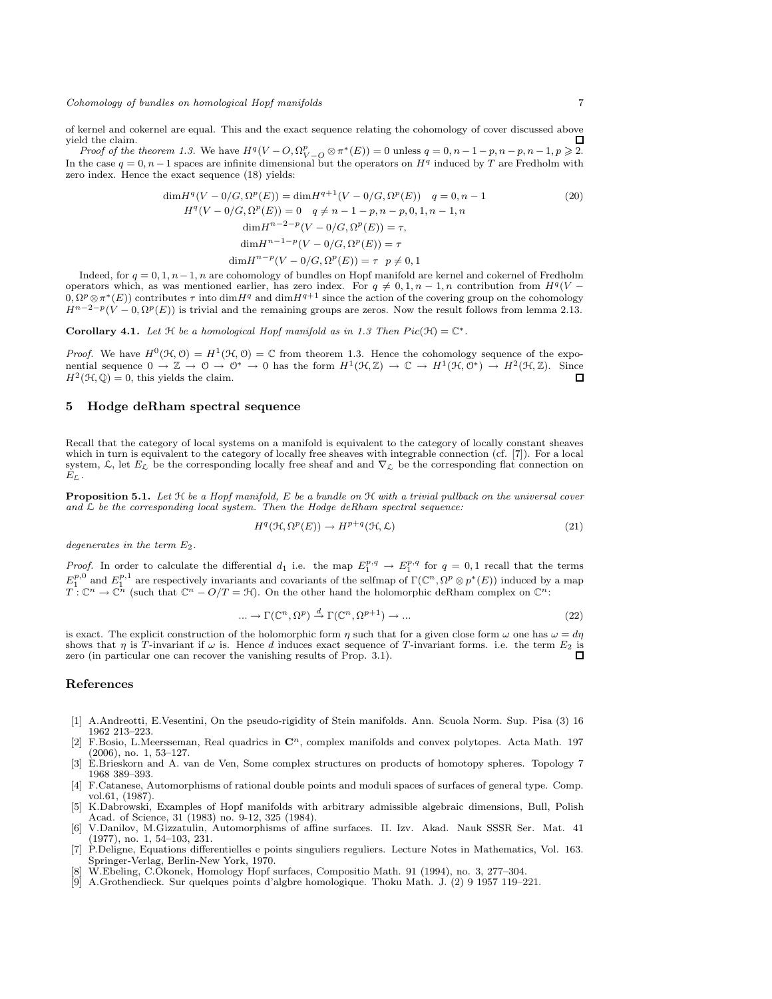of kernel and cokernel are equal. This and the exact sequence relating the cohomology of cover discussed above yield the claim. П

*Proof of the theorem 1.3.* We have  $H^q(V - O, \Omega_{V - O}^p \otimes \pi^*(E)) = 0$  unless  $q = 0, n - 1 - p, n - p, n - 1, p \geq 2$ . In the case  $q = 0, n - 1$  spaces are infinite dimensional but the operators on  $H<sup>q</sup>$  induced by T are Fredholm with zero index. Hence the exact sequence (18) yields:

$$
\dim H^{q}(V - 0/G, \Omega^{p}(E)) = \dim H^{q+1}(V - 0/G, \Omega^{p}(E)) \quad q = 0, n - 1
$$
\n
$$
H^{q}(V - 0/G, \Omega^{p}(E)) = 0 \quad q \neq n - 1 - p, n - p, 0, 1, n - 1, n
$$
\n
$$
\dim H^{n-2-p}(V - 0/G, \Omega^{p}(E)) = \tau,
$$
\n
$$
\dim H^{n-1-p}(V - 0/G, \Omega^{p}(E)) = \tau
$$
\n
$$
\dim H^{n-p}(V - 0/G, \Omega^{p}(E)) = \tau \quad p \neq 0, 1
$$
\n(20)

Indeed, for  $q = 0, 1, n - 1, n$  are cohomology of bundles on Hopf manifold are kernel and cokernel of Fredholm operators which, as was mentioned earlier, has zero index. For  $q \neq 0, 1, n-1, n$  contribution from  $H^q(V 0, \Omega^p \otimes \pi^*(E)$  contributes  $\tau$  into  $\dim H^q$  and  $\dim H^{q+1}$  since the action of the covering group on the cohomology  $H^{n-2-p}(V-0,\Omega^p(E))$  is trivial and the remaining groups are zeros. Now the result follows from lemma 2.13.

Corollary 4.1. Let  $\mathcal H$  be a homological Hopf manifold as in 1.3 Then  $Pic(\mathcal H) = \mathbb C^*$ .

*Proof.* We have  $H^0(\mathcal{H}, \mathcal{O}) = H^1(\mathcal{H}, \mathcal{O}) = \mathbb{C}$  from theorem 1.3. Hence the cohomology sequence of the exponential sequence  $0 \to \mathbb{Z} \to 0 \to 0^* \to 0$  has the form  $H^1(\mathcal{H}, \mathbb{Z}) \to \mathbb{C} \to H^1(\mathcal{H}, 0^*) \to H^2(\mathcal{H}, \mathbb{Z})$ . Since  $H^2(\mathcal{H}, \mathbb{Q}) = 0$ , this yields the claim.  $\Box$ 

## 5 Hodge deRham spectral sequence

Recall that the category of local systems on a manifold is equivalent to the category of locally constant sheaves which in turn is equivalent to the category of locally free sheaves with integrable connection (cf. [7]). For a local system,  $\mathcal{L}$ , let  $E_L$  be the corresponding locally free sheaf and and  $\nabla_L$  be the corresponding flat connection on  $E_{\mathcal{L}}$  .

Proposition 5.1. *Let* H *be a Hopf manifold,* E *be a bundle on* H *with a trivial pullback on the universal cover and* L *be the corresponding local system. Then the Hodge deRham spectral sequence:*

$$
H^q(\mathcal{H}, \Omega^p(E)) \to H^{p+q}(\mathcal{H}, \mathcal{L})
$$
\n(21)

*degenerates in the term* E2*.*

*Proof.* In order to calculate the differential  $d_1$  i.e. the map  $E_1^{p,q} \to E_1^{p,q}$  for  $q = 0,1$  recall that the terms  $E_1^{p,0}$  and  $E_1^{p,1}$  are respectively invariants and covariants of the selfmap of  $\Gamma(\mathbb{C}^n, \Omega^p \otimes p^*(E))$  induced by a map  $T: \mathbb{C}^n \to \mathbb{C}^n$  (such that  $\mathbb{C}^n - O/T = \mathcal{H}$ ). On the other hand the holomorphic

$$
\dots \to \Gamma(\mathbb{C}^n, \Omega^p) \xrightarrow{d} \Gamma(\mathbb{C}^n, \Omega^{p+1}) \to \dots \tag{22}
$$

is exact. The explicit construction of the holomorphic form  $\eta$  such that for a given close form  $\omega$  one has  $\omega = d\eta$ shows that  $\eta$  is T-invariant if  $\omega$  is. Hence d induces exact sequence of T-invariant forms. i.e. the term  $E_2$  is zero (in particular one can recover the vanishing results of Prop. 3.1). zero (in particular one can recover the vanishing results of Prop. 3.1).

#### References

- [1] A.Andreotti, E.Vesentini, On the pseudo-rigidity of Stein manifolds. Ann. Scuola Norm. Sup. Pisa (3) 16 1962 213–223.
- [2] F.Bosio, L.Meersseman, Real quadrics in  $\mathbb{C}^n$ , complex manifolds and convex polytopes. Acta Math. 197 (2006), no. 1, 53–127.
- [3] E.Brieskorn and A. van de Ven, Some complex structures on products of homotopy spheres. Topology 7 1968 389–393.
- [4] F.Catanese, Automorphisms of rational double points and moduli spaces of surfaces of general type. Comp. vol.61, (1987).
- [5] K.Dabrowski, Examples of Hopf manifolds with arbitrary admissible algebraic dimensions, Bull, Polish Acad. of Science, 31 (1983) no. 9-12, 325 (1984).
- [6] V.Danilov, M.Gizzatulin, Automorphisms of affine surfaces. II. Izv. Akad. Nauk SSSR Ser. Mat. 41 (1977), no. 1, 54–103, 231.
- [7] P.Deligne, Equations differentielles e points singuliers reguliers. Lecture Notes in Mathematics, Vol. 163. Springer-Verlag, Berlin-New York, 1970.
- [8] W.Ebeling, C.Okonek, Homology Hopf surfaces, Compositio Math. 91 (1994), no. 3, 277–304.
- [9] A.Grothendieck. Sur quelques points d'algbre homologique. Thoku Math. J. (2) 9 1957 119–221.